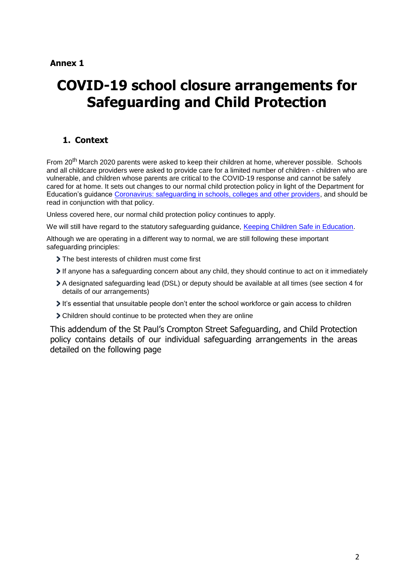## **Annex 1**

# **COVID-19 school closure arrangements for Safeguarding and Child Protection**

# <span id="page-0-0"></span>**1. Context**

From 20<sup>th</sup> March 2020 parents were asked to keep their children at home, wherever possible. Schools and all childcare providers were asked to provide care for a limited number of children - children who are vulnerable, and children whose parents are critical to the COVID-19 response and cannot be safely cared for at home. It sets out changes to our normal child protection policy in light of the Department for Education's guidance [Coronavirus: safeguarding in schools, colleges and other providers,](https://www.gov.uk/government/publications/covid-19-safeguarding-in-schools-colleges-and-other-providers) and should be read in conjunction with that policy.

Unless covered here, our normal child protection policy continues to apply.

We will still have regard to the statutory safeguarding guidance, [Keeping Children Safe in Education.](https://www.gov.uk/government/publications/keeping-children-safe-in-education--2)

Although we are operating in a different way to normal, we are still following these important safeguarding principles:

- The best interests of children must come first
- If anyone has a safeguarding concern about any child, they should continue to act on it immediately
- A designated safeguarding lead (DSL) or deputy should be available at all times (see section 4 for details of our arrangements)
- It's essential that unsuitable people don't enter the school workforce or gain access to children
- Children should continue to be protected when they are online

This addendum of the St Paul's Crompton Street Safeguarding, and Child Protection policy contains details of our individual safeguarding arrangements in the areas detailed on the following page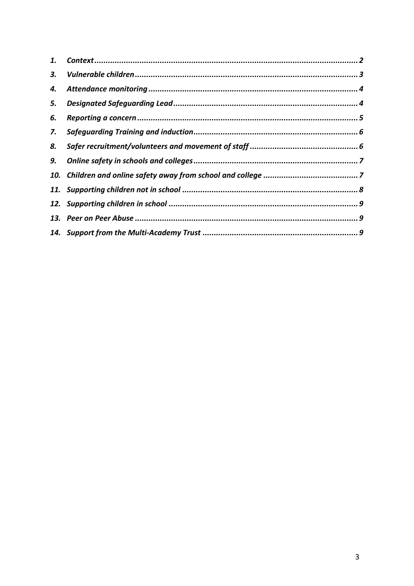| 1. |  |
|----|--|
| 3. |  |
| 4. |  |
| 5. |  |
| 6. |  |
| 7. |  |
| 8. |  |
| 9. |  |
|    |  |
|    |  |
|    |  |
|    |  |
|    |  |
|    |  |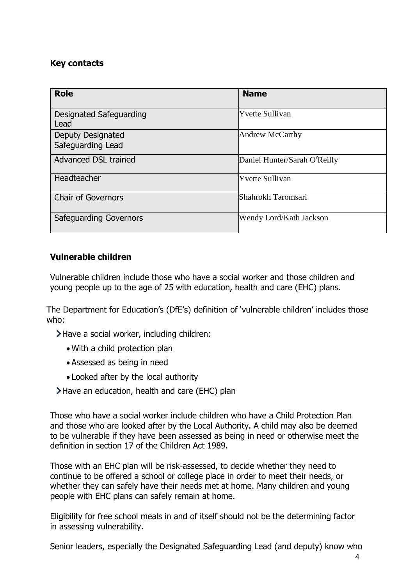# **Key contacts**

| <b>Role</b>                            | <b>Name</b>                  |
|----------------------------------------|------------------------------|
| Designated Safeguarding<br>Lead        | <b>Yvette Sullivan</b>       |
| Deputy Designated<br>Safeguarding Lead | Andrew McCarthy              |
| <b>Advanced DSL trained</b>            | Daniel Hunter/Sarah O'Reilly |
| Headteacher                            | <b>Yvette Sullivan</b>       |
| <b>Chair of Governors</b>              | Shahrokh Taromsari           |
| Safeguarding Governors                 | Wendy Lord/Kath Jackson      |

# **Vulnerable children**

Vulnerable children include those who have a social worker and those children and young people up to the age of 25 with education, health and care (EHC) plans.

The Department for Education's (DfE's) definition of 'vulnerable children' includes those who:

Have a social worker, including children:

- With a child protection plan
- Assessed as being in need
- Looked after by the local authority

Have an education, health and care (EHC) plan

Those who have a social worker include children who have a Child Protection Plan and those who are looked after by the Local Authority. A child may also be deemed to be vulnerable if they have been assessed as being in need or otherwise meet the definition in section 17 of the Children Act 1989.

Those with an EHC plan will be risk-assessed, to decide whether they need to continue to be offered a school or college place in order to meet their needs, or whether they can safely have their needs met at home. Many children and young people with EHC plans can safely remain at home.

Eligibility for free school meals in and of itself should not be the determining factor in assessing vulnerability.

Senior leaders, especially the Designated Safeguarding Lead (and deputy) know who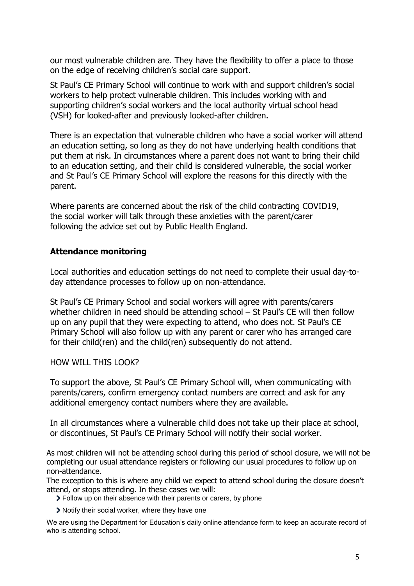our most vulnerable children are. They have the flexibility to offer a place to those on the edge of receiving children's social care support.

St Paul's CE Primary School will continue to work with and support children's social workers to help protect vulnerable children. This includes working with and supporting children's social workers and the local authority virtual school head (VSH) for looked-after and previously looked-after children.

There is an expectation that vulnerable children who have a social worker will attend an education setting, so long as they do not have underlying health conditions that put them at risk. In circumstances where a parent does not want to bring their child to an education setting, and their child is considered vulnerable, the social worker and St Paul's CE Primary School will explore the reasons for this directly with the parent.

Where parents are concerned about the risk of the child contracting COVID19, the social worker will talk through these anxieties with the parent/carer following the advice set out by Public Health England.

## **Attendance monitoring**

Local authorities and education settings do not need to complete their usual day-today attendance processes to follow up on non-attendance.

St Paul's CE Primary School and social workers will agree with parents/carers whether children in need should be attending school – St Paul's CE will then follow up on any pupil that they were expecting to attend, who does not. St Paul's CE Primary School will also follow up with any parent or carer who has arranged care for their child(ren) and the child(ren) subsequently do not attend.

#### HOW WILL THIS LOOK?

To support the above, St Paul's CE Primary School will, when communicating with parents/carers, confirm emergency contact numbers are correct and ask for any additional emergency contact numbers where they are available.

In all circumstances where a vulnerable child does not take up their place at school, or discontinues, St Paul's CE Primary School will notify their social worker.

As most children will not be attending school during this period of school closure, we will not be completing our usual attendance registers or following our usual procedures to follow up on non-attendance.

The exception to this is where any child we expect to attend school during the closure doesn't attend, or stops attending. In these cases we will:

Follow up on their absence with their parents or carers, by phone

Notify their social worker, where they have one

We are using the Department for Education's daily online attendance form to keep an accurate record of who is attending school.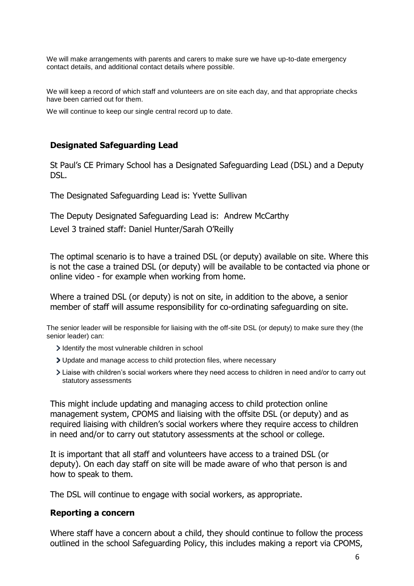We will make arrangements with parents and carers to make sure we have up-to-date emergency contact details, and additional contact details where possible.

We will keep a record of which staff and volunteers are on site each day, and that appropriate checks have been carried out for them.

We will continue to keep our single central record up to date.

#### **Designated Safeguarding Lead**

St Paul's CE Primary School has a Designated Safeguarding Lead (DSL) and a Deputy DSL.

The Designated Safeguarding Lead is: Yvette Sullivan

The Deputy Designated Safeguarding Lead is: Andrew McCarthy

Level 3 trained staff: Daniel Hunter/Sarah O'Reilly

The optimal scenario is to have a trained DSL (or deputy) available on site. Where this is not the case a trained DSL (or deputy) will be available to be contacted via phone or online video - for example when working from home.

Where a trained DSL (or deputy) is not on site, in addition to the above, a senior member of staff will assume responsibility for co-ordinating safeguarding on site.

The senior leader will be responsible for liaising with the off-site DSL (or deputy) to make sure they (the senior leader) can:

- I dentify the most vulnerable children in school
- Update and manage access to child protection files, where necessary
- Liaise with children's social workers where they need access to children in need and/or to carry out statutory assessments

This might include updating and managing access to child protection online management system, CPOMS and liaising with the offsite DSL (or deputy) and as required liaising with children's social workers where they require access to children in need and/or to carry out statutory assessments at the school or college.

It is important that all staff and volunteers have access to a trained DSL (or deputy). On each day staff on site will be made aware of who that person is and how to speak to them.

The DSL will continue to engage with social workers, as appropriate.

#### **Reporting a concern**

Where staff have a concern about a child, they should continue to follow the process outlined in the school Safeguarding Policy, this includes making a report via CPOMS,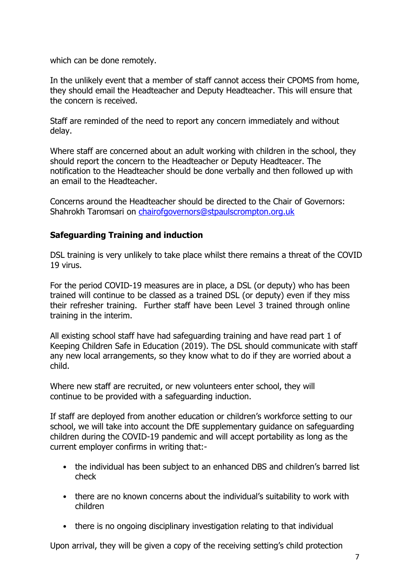which can be done remotely.

In the unlikely event that a member of staff cannot access their CPOMS from home, they should email the Headteacher and Deputy Headteacher. This will ensure that the concern is received.

Staff are reminded of the need to report any concern immediately and without delay.

Where staff are concerned about an adult working with children in the school, they should report the concern to the Headteacher or Deputy Headteacer. The notification to the Headteacher should be done verbally and then followed up with an email to the Headteacher.

Concerns around the Headteacher should be directed to the Chair of Governors: Shahrokh Taromsari on [chairofgovernors@stpaulscrompton.org.uk](mailto:chairofgovernors@stpaulscrompton.org.uk)

# **Safeguarding Training and induction**

DSL training is very unlikely to take place whilst there remains a threat of the COVID 19 virus.

For the period COVID-19 measures are in place, a DSL (or deputy) who has been trained will continue to be classed as a trained DSL (or deputy) even if they miss their refresher training. Further staff have been Level 3 trained through online training in the interim.

All existing school staff have had safeguarding training and have read part 1 of Keeping Children Safe in Education (2019). The DSL should communicate with staff any new local arrangements, so they know what to do if they are worried about a child.

Where new staff are recruited, or new volunteers enter school, they will continue to be provided with a safeguarding induction.

If staff are deployed from another education or children's workforce setting to our school, we will take into account the DfE supplementary guidance on safeguarding children during the COVID-19 pandemic and will accept portability as long as the current employer confirms in writing that:-

- the individual has been subject to an enhanced DBS and children's barred list check
- there are no known concerns about the individual's suitability to work with children
- there is no ongoing disciplinary investigation relating to that individual

Upon arrival, they will be given a copy of the receiving setting's child protection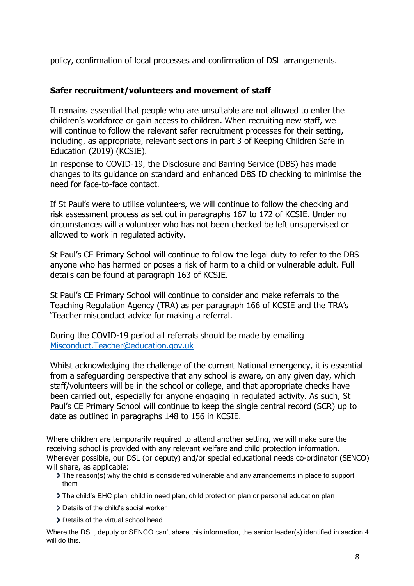policy, confirmation of local processes and confirmation of DSL arrangements.

## **Safer recruitment/volunteers and movement of staff**

It remains essential that people who are unsuitable are not allowed to enter the children's workforce or gain access to children. When recruiting new staff, we will continue to follow the relevant safer recruitment processes for their setting, including, as appropriate, relevant sections in part 3 of Keeping Children Safe in Education (2019) (KCSIE).

In response to COVID-19, the Disclosure and Barring Service (DBS) has made changes to its guidance on standard and enhanced DBS ID checking to minimise the need for face-to-face contact.

If St Paul's were to utilise volunteers, we will continue to follow the checking and risk assessment process as set out in paragraphs 167 to 172 of KCSIE. Under no circumstances will a volunteer who has not been checked be left unsupervised or allowed to work in regulated activity.

St Paul's CE Primary School will continue to follow the legal duty to refer to the DBS anyone who has harmed or poses a risk of harm to a child or vulnerable adult. Full details can be found at paragraph 163 of KCSIE.

St Paul's CE Primary School will continue to consider and make referrals to the Teaching Regulation Agency (TRA) as per paragraph 166 of KCSIE and the TRA's 'Teacher misconduct advice for making a referral.

During the COVID-19 period all referrals should be made by emailing [Misconduct.Teacher@education.gov.uk](mailto:Misconduct.Teacher@education.gov.uk)

Whilst acknowledging the challenge of the current National emergency, it is essential from a safeguarding perspective that any school is aware, on any given day, which staff/volunteers will be in the school or college, and that appropriate checks have been carried out, especially for anyone engaging in regulated activity. As such, St Paul's CE Primary School will continue to keep the single central record (SCR) up to date as outlined in paragraphs 148 to 156 in KCSIE.

Where children are temporarily required to attend another setting, we will make sure the receiving school is provided with any relevant welfare and child protection information. Wherever possible, our DSL (or deputy) and/or special educational needs co-ordinator (SENCO) will share, as applicable:

- The reason(s) why the child is considered vulnerable and any arrangements in place to support them
- The child's EHC plan, child in need plan, child protection plan or personal education plan
- > Details of the child's social worker
- > Details of the virtual school head

Where the DSL, deputy or SENCO can't share this information, the senior leader(s) identified in section 4 will do this.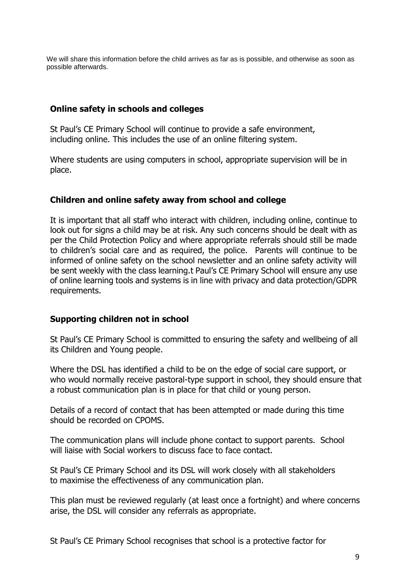We will share this information before the child arrives as far as is possible, and otherwise as soon as possible afterwards.

## **Online safety in schools and colleges**

St Paul's CE Primary School will continue to provide a safe environment, including online. This includes the use of an online filtering system.

Where students are using computers in school, appropriate supervision will be in place.

## **Children and online safety away from school and college**

It is important that all staff who interact with children, including online, continue to look out for signs a child may be at risk. Any such concerns should be dealt with as per the Child Protection Policy and where appropriate referrals should still be made to children's social care and as required, the police. Parents will continue to be informed of online safety on the school newsletter and an online safety activity will be sent weekly with the class learning.t Paul's CE Primary School will ensure any use of online learning tools and systems is in line with privacy and data protection/GDPR requirements.

## **Supporting children not in school**

St Paul's CE Primary School is committed to ensuring the safety and wellbeing of all its Children and Young people.

Where the DSL has identified a child to be on the edge of social care support, or who would normally receive pastoral-type support in school, they should ensure that a robust communication plan is in place for that child or young person.

Details of a record of contact that has been attempted or made during this time should be recorded on CPOMS.

The communication plans will include phone contact to support parents. School will liaise with Social workers to discuss face to face contact.

St Paul's CE Primary School and its DSL will work closely with all stakeholders to maximise the effectiveness of any communication plan.

This plan must be reviewed regularly (at least once a fortnight) and where concerns arise, the DSL will consider any referrals as appropriate.

St Paul's CE Primary School recognises that school is a protective factor for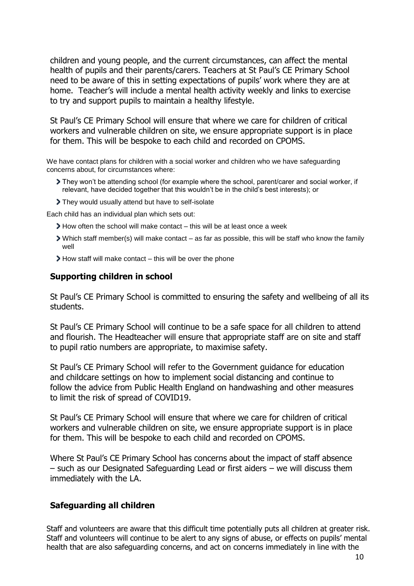children and young people, and the current circumstances, can affect the mental health of pupils and their parents/carers. Teachers at St Paul's CE Primary School need to be aware of this in setting expectations of pupils' work where they are at home. Teacher's will include a mental health activity weekly and links to exercise to try and support pupils to maintain a healthy lifestyle.

St Paul's CE Primary School will ensure that where we care for children of critical workers and vulnerable children on site, we ensure appropriate support is in place for them. This will be bespoke to each child and recorded on CPOMS.

We have contact plans for children with a social worker and children who we have safeguarding concerns about, for circumstances where:

- They won't be attending school (for example where the school, parent/carer and social worker, if relevant, have decided together that this wouldn't be in the child's best interests); or
- They would usually attend but have to self-isolate

Each child has an individual plan which sets out:

- How often the school will make contact this will be at least once a week
- Which staff member(s) will make contact as far as possible, this will be staff who know the family well
- How staff will make contact this will be over the phone

#### **Supporting children in school**

St Paul's CE Primary School is committed to ensuring the safety and wellbeing of all its students.

St Paul's CE Primary School will continue to be a safe space for all children to attend and flourish. The Headteacher will ensure that appropriate staff are on site and staff to pupil ratio numbers are appropriate, to maximise safety.

St Paul's CE Primary School will refer to the Government guidance for education and childcare settings on how to implement social distancing and continue to follow the advice from Public Health England on handwashing and other measures to limit the risk of spread of COVID19.

St Paul's CE Primary School will ensure that where we care for children of critical workers and vulnerable children on site, we ensure appropriate support is in place for them. This will be bespoke to each child and recorded on CPOMS.

Where St Paul's CE Primary School has concerns about the impact of staff absence – such as our Designated Safeguarding Lead or first aiders – we will discuss them immediately with the LA.

## **Safeguarding all children**

Staff and volunteers are aware that this difficult time potentially puts all children at greater risk. Staff and volunteers will continue to be alert to any signs of abuse, or effects on pupils' mental health that are also safeguarding concerns, and act on concerns immediately in line with the